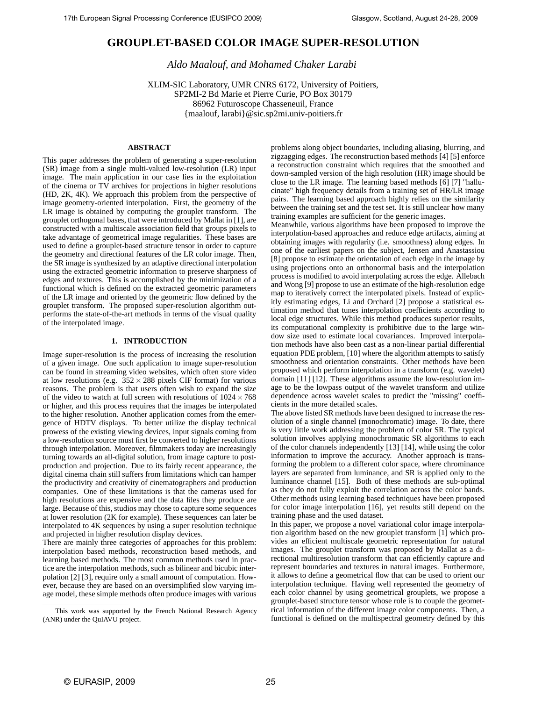# **GROUPLET-BASED COLOR IMAGE SUPER-RESOLUTION**

*Aldo Maalouf, and Mohamed Chaker Larabi*

XLIM-SIC Laboratory, UMR CNRS 6172, University of Poitiers, SP2MI-2 Bd Marie et Pierre Curie, PO Box 30179 86962 Futuroscope Chasseneuil, France {maalouf, larabi}@sic.sp2mi.univ-poitiers.fr

# **ABSTRACT**

This paper addresses the problem of generating a super-resolution (SR) image from a single multi-valued low-resolution (LR) input image. The main application in our case lies in the exploitation of the cinema or TV archives for projections in higher resolutions (HD, 2K, 4K). We approach this problem from the perspective of image geometry-oriented interpolation. First, the geometry of the LR image is obtained by computing the grouplet transform. The grouplet orthogonal bases, that were introduced by Mallat in [1], are constructed with a multiscale association field that groups pixels to take advantage of geometrical image regularities. These bases are used to define a grouplet-based structure tensor in order to capture the geometry and directional features of the LR color image. Then, the SR image is synthesized by an adaptive directional interpolation using the extracted geometric information to preserve sharpness of edges and textures. This is accomplished by the minimization of a functional which is defined on the extracted geometric parameters of the LR image and oriented by the geometric flow defined by the grouplet transform. The proposed super-resolution algorithm outperforms the state-of-the-art methods in terms of the visual quality of the interpolated image.

# **1. INTRODUCTION**

Image super-resolution is the process of increasing the resolution of a given image. One such application to image super-resolution can be found in streaming video websites, which often store video at low resolutions (e.g.  $352 \times 288$  pixels CIF format) for various reasons. The problem is that users often wish to expand the size of the video to watch at full screen with resolutions of  $1024 \times 768$ or higher, and this process requires that the images be interpolated to the higher resolution. Another application comes from the emergence of HDTV displays. To better utilize the display technical prowess of the existing viewing devices, input signals coming from a low-resolution source must first be converted to higher resolutions through interpolation. Moreover, filmmakers today are increasingly turning towards an all-digital solution, from image capture to postproduction and projection. Due to its fairly recent appearance, the digital cinema chain still suffers from limitations which can hamper the productivity and creativity of cinematographers and production companies. One of these limitations is that the cameras used for high resolutions are expensive and the data files they produce are large. Because of this, studios may chose to capture some sequences at lower resolution (2K for example). These sequences can later be interpolated to 4K sequences by using a super resolution technique and projected in higher resolution display devices.

There are mainly three categories of approaches for this problem: interpolation based methods, reconstruction based methods, and learning based methods. The most common methods used in practice are the interpolation methods, such as bilinear and bicubic interpolation [2] [3], require only a small amount of computation. However, because they are based on an oversimplified slow varying image model, these simple methods often produce images with various problems along object boundaries, including aliasing, blurring, and zigzagging edges. The reconstruction based methods [4] [5] enforce a reconstruction constraint which requires that the smoothed and down-sampled version of the high resolution (HR) image should be close to the LR image. The learning based methods [6] [7] "hallucinate" high frequency details from a training set of HR/LR image pairs. The learning based approach highly relies on the similarity between the training set and the test set. It is still unclear how many training examples are sufficient for the generic images.

Meanwhile, various algorithms have been proposed to improve the interpolation-based approaches and reduce edge artifacts, aiming at obtaining images with regularity (i.e. smoothness) along edges. In one of the earliest papers on the subject, Jensen and Anastassiou [8] propose to estimate the orientation of each edge in the image by using projections onto an orthonormal basis and the interpolation process is modified to avoid interpolating across the edge. Allebach and Wong [9] propose to use an estimate of the high-resolution edge map to iteratively correct the interpolated pixels. Instead of explicitly estimating edges, Li and Orchard [2] propose a statistical estimation method that tunes interpolation coefficients according to local edge structures. While this method produces superior results, its computational complexity is prohibitive due to the large window size used to estimate local covariances. Improved interpolation methods have also been cast as a non-linear partial differential equation PDE problem, [10] where the algorithm attempts to satisfy smoothness and orientation constraints. Other methods have been proposed which perform interpolation in a transform (e.g. wavelet) domain [11] [12]. These algorithms assume the low-resolution image to be the lowpass output of the wavelet transform and utilize dependence across wavelet scales to predict the "missing" coefficients in the more detailed scales.

The above listed SR methods have been designed to increase the resolution of a single channel (monochromatic) image. To date, there is very little work addressing the problem of color SR. The typical solution involves applying monochromatic SR algorithms to each of the color channels independently [13] [14], while using the color information to improve the accuracy. Another approach is transforming the problem to a different color space, where chrominance layers are separated from luminance, and SR is applied only to the luminance channel [15]. Both of these methods are sub-optimal as they do not fully exploit the correlation across the color bands. Other methods using learning based techniques have been proposed for color image interpolation [16], yet results still depend on the training phase and the used dataset.

In this paper, we propose a novel variational color image interpolation algorithm based on the new grouplet transform [1] which provides an efficient multiscale geometric representation for natural images. The grouplet transform was proposed by Mallat as a directional multiresolution transform that can efficiently capture and represent boundaries and textures in natural images. Furthermore, it allows to define a geometrical flow that can be used to orient our interpolation technique. Having well represented the geometry of each color channel by using geometrical grouplets, we propose a grouplet-based structure tensor whose role is to couple the geometrical information of the different image color components. Then, a functional is defined on the multispectral geometry defined by this

This work was supported by the French National Research Agency (ANR) under the QuIAVU project.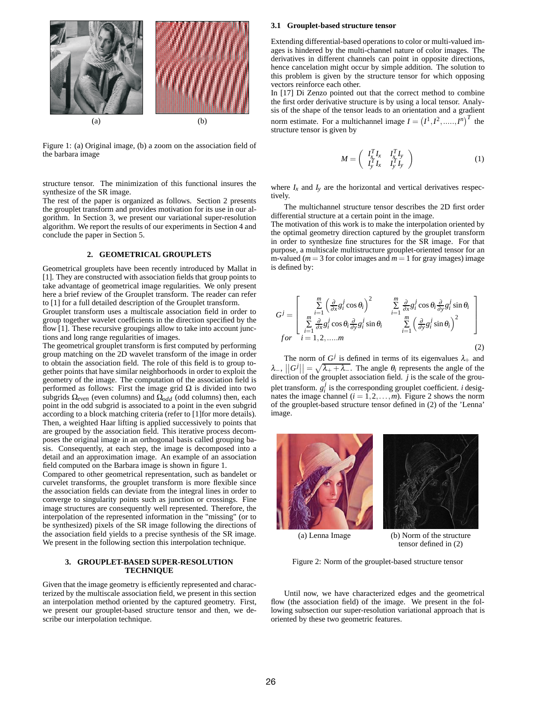

Figure 1: (a) Original image, (b) a zoom on the association field of the barbara image

structure tensor. The minimization of this functional insures the synthesize of the SR image.

The rest of the paper is organized as follows. Section 2 presents the grouplet transform and provides motivation for its use in our algorithm. In Section 3, we present our variational super-resolution algorithm. We report the results of our experiments in Section 4 and conclude the paper in Section 5.

# **2. GEOMETRICAL GROUPLETS**

Geometrical grouplets have been recently introduced by Mallat in [1]. They are constructed with association fields that group points to take advantage of geometrical image regularities. We only present here a brief review of the Grouplet transform. The reader can refer to [1] for a full detailed description of the Grouplet transform.

Grouplet transform uses a multiscale association field in order to group together wavelet coefficients in the direction specified by the flow [1]. These recursive groupings allow to take into account junctions and long range regularities of images.

The geometrical grouplet transform is first computed by performing group matching on the 2D wavelet transform of the image in order to obtain the association field. The role of this field is to group together points that have similar neighborhoods in order to exploit the geometry of the image. The computation of the association field is performed as follows: First the image grid Ω is divided into two subgrids Ω*even* (even columns) and Ω*odd* (odd columns) then, each point in the odd subgrid is associated to a point in the even subgrid according to a block matching criteria (refer to [1]for more details). Then, a weighted Haar lifting is applied successively to points that are grouped by the association field. This iterative process decomposes the original image in an orthogonal basis called grouping basis. Consequently, at each step, the image is decomposed into a detail and an approximation image. An example of an association field computed on the Barbara image is shown in figure 1.

Compared to other geometrical representation, such as bandelet or curvelet transforms, the grouplet transform is more flexible since the association fields can deviate from the integral lines in order to converge to singularity points such as junction or crossings. Fine image structures are consequently well represented. Therefore, the interpolation of the represented information in the "missing" (or to be synthesized) pixels of the SR image following the directions of the association field yields to a precise synthesis of the SR image. We present in the following section this interpolation technique.

## **3. GROUPLET-BASED SUPER-RESOLUTION TECHNIQUE**

Given that the image geometry is efficiently represented and characterized by the multiscale association field, we present in this section an interpolation method oriented by the captured geometry. First, we present our grouplet-based structure tensor and then, we describe our interpolation technique.

#### **3.1 Grouplet-based structure tensor**

Extending differential-based operations to color or multi-valued images is hindered by the multi-channel nature of color images. The derivatives in different channels can point in opposite directions, hence cancelation might occur by simple addition. The solution to this problem is given by the structure tensor for which opposing vectors reinforce each other.

In [17] Di Zenzo pointed out that the correct method to combine the first order derivative structure is by using a local tensor. Analysis of the shape of the tensor leads to an orientation and a gradient norm estimate. For a multichannel image  $I = (I^1, I^2, \dots, I^n)^T$  the structure tensor is given by

$$
M = \left(\begin{array}{cc} I_x^T I_x & I_x^T I_y \\ I_y^T I_x & I_y^T I_y \end{array}\right) \tag{1}
$$

where  $I_x$  and  $I_y$  are the horizontal and vertical derivatives respectively.

The multichannel structure tensor describes the 2D first order differential structure at a certain point in the image.

The motivation of this work is to make the interpolation oriented by the optimal geometry direction captured by the grouplet transform in order to synthesize fine structures for the SR image. For that purpose, a multiscale multistructure grouplet-oriented tensor for an m-valued ( $m = 3$  for color images and  $m = 1$  for gray images) image is defined by:

$$
G^{j} = \begin{bmatrix} \sum_{i=1}^{m} \left( \frac{\partial}{\partial x} g_{i}^{j} \cos \theta_{i} \right)^{2} & \sum_{i=1}^{m} \frac{\partial}{\partial x} g_{i}^{j} \cos \theta_{i} \frac{\partial}{\partial y} g_{i}^{j} \sin \theta_{i} \\ \sum_{i=1}^{m} \frac{\partial}{\partial x} g_{i}^{j} \cos \theta_{i} \frac{\partial}{\partial y} g_{i}^{j} \sin \theta_{i} & \sum_{i=1}^{m} \left( \frac{\partial}{\partial y} g_{i}^{j} \sin \theta_{i} \right)^{2} \\ for \quad i = 1, 2, \dots, m \end{bmatrix}
$$
(2)

The norm of  $G^j$  is defined in terms of its eigenvalues  $\lambda_+$  and  $\lambda_{-}$ ,  $||G^j|| = \sqrt{\lambda_{+} + \lambda_{-}}$ . The angle  $\theta_i$  represents the angle of the grouplet transform.  $g_i^j$  is the corresponding grouplet coefficient. *i* designates the image channel  $(i = 1, 2, \ldots, m)$ . Figure 2 shows the norm of the grouplet-based structure tensor defined in (2) of the 'Lenna' image.





(a) Lenna Image (b) Norm of the structure tensor defined in (2)

Figure 2: Norm of the grouplet-based structure tensor

Until now, we have characterized edges and the geometrical flow (the association field) of the image. We present in the following subsection our super-resolution variational approach that is oriented by these two geometric features.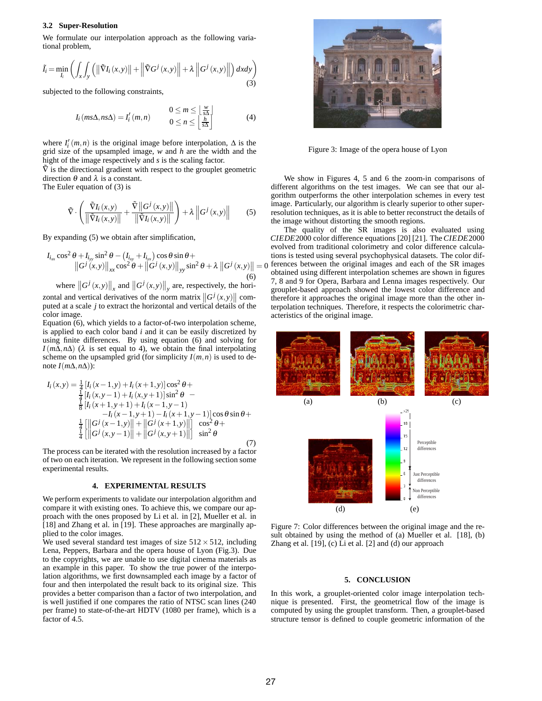#### **3.2 Super-Resolution**

We formulate our interpolation approach as the following variational problem,

$$
\tilde{I}_i = \min_{I_i} \left( \int_x \int_y \left( \left\| \tilde{\nabla} I_i \left( x, y \right) \right\| + \left\| \tilde{\nabla} G^j \left( x, y \right) \right\| + \lambda \left\| G^j \left( x, y \right) \right\| \right) dx dy \right) \tag{3}
$$

subjected to the following constraints,

$$
I_i \left( m s \Delta, n s \Delta \right) = I'_i \left( m, n \right) \qquad \begin{array}{c} 0 \leq m \leq \left\lfloor \frac{w}{s \Delta} \right\rfloor \\ 0 \leq n \leq \left\lfloor \frac{h}{s \Delta} \right\rfloor \end{array} \tag{4}
$$

where  $I'_i(m, n)$  is the original image before interpolation,  $\Delta$  is the grid size of the upsampled image, *w* and *h* are the width and the hight of the image respectively and *s* is the scaling factor.

 $\tilde{V}$  is the directional gradient with respect to the grouplet geometric direction  $\theta$  and  $\lambda$  is a constant.

The Euler equation of (3) is

$$
\tilde{\nabla} \cdot \left( \frac{\tilde{\nabla} I_i(x, y)}{\left\| \tilde{\nabla} I_i(x, y) \right\|} + \frac{\tilde{\nabla} \left\| G^j(x, y) \right\|}{\left\| \tilde{\nabla} I_i(x, y) \right\|} \right) + \lambda \left\| G^j(x, y) \right\| \tag{5}
$$

By expanding (5) we obtain after simplification,

$$
I_{i_{xx}}\cos^{2}\theta + I_{i_{yy}}\sin^{2}\theta - (I_{i_{xy}} + I_{i_{yx}})\cos\theta\sin\theta + \left\|G^{j}(x,y)\right\|_{xx}\cos^{2}\theta + \left\|G^{j}(x,y)\right\|_{yy}\sin^{2}\theta + \lambda\left\|G^{j}(x,y)\right\| =
$$
\n(6)

where  $\left\|G^{j}(x,y)\right\|_{x}$  and  $\left\|G^{j}(x,y)\right\|_{y}$  are, respectively, the horizontal and vertical derivatives of the norm matrix  $\left\|G^{j}(x,y)\right\|$  computed at a scale *j* to extract the horizontal and vertical details of the color image.

Equation (6), which yields to a factor-of-two interpolation scheme, is applied to each color band *i* and it can be easily discretized by using finite differences. By using equation (6) and solving for  $I(m\Delta,n\Delta)$  ( $\lambda$  is set equal to 4), we obtain the final interpolating scheme on the upsampled grid (for simplicity  $I(m, n)$ ) is used to denote  $I(m\Delta, n\Delta)$ :

$$
I_{i}(x,y) = \frac{1}{4} [I_{i}(x-1,y) + I_{i}(x+1,y)] \cos^{2} \theta +
$$
  
\n
$$
\frac{1}{4} [I_{i}(x,y-1) + I_{i}(x,y+1)] \sin^{2} \theta -
$$
  
\n
$$
\frac{1}{8} [I_{i}(x+1,y+1) + I_{i}(x-1,y-1) -
$$
  
\n
$$
-I_{i}(x-1,y+1) - I_{i}(x+1,y-1)] \cos \theta \sin \theta +
$$
  
\n
$$
\frac{1}{4} [||G^{j}(x-1,y)|| + ||G^{j}(x+1,y)||] \cos^{2} \theta +
$$
  
\n
$$
\frac{1}{4} [||G^{j}(x,y-1)|| + ||G^{j}(x,y+1)||] \sin^{2} \theta
$$
\n(7)

The process can be iterated with the resolution increased by a factor of two on each iteration. We represent in the following section some experimental results.

# **4. EXPERIMENTAL RESULTS**

We perform experiments to validate our interpolation algorithm and compare it with existing ones. To achieve this, we compare our approach with the ones proposed by Li et al. in [2], Mueller et al. in [18] and Zhang et al. in [19]. These approaches are marginally applied to the color images.

We used several standard test images of size  $512 \times 512$ , including Lena, Peppers, Barbara and the opera house of Lyon (Fig.3). Due to the copyrights, we are unable to use digital cinema materials as an example in this paper. To show the true power of the interpolation algorithms, we first downsampled each image by a factor of four and then interpolated the result back to its original size. This provides a better comparison than a factor of two interpolation, and is well justified if one compares the ratio of NTSC scan lines (240 per frame) to state-of-the-art HDTV (1080 per frame), which is a factor of 4.5.



Figure 3: Image of the opera house of Lyon

We show in Figures 4, 5 and 6 the zoom-in comparisons of different algorithms on the test images. We can see that our algorithm outperforms the other interpolation schemes in every test image. Particularly, our algorithm is clearly superior to other superresolution techniques, as it is able to better reconstruct the details of the image without distorting the smooth regions.

 $\| = 0$  ferences between the original images and each of the SR images<br>obtained using different interpolation schemes are shown in figures The quality of the SR images is also evaluated using *CIEDE*2000 color difference equations [20] [21]. The*CIEDE*2000 evolved from traditional colorimetry and color difference calculations is tested using several psychophysical datasets. The color difobtained using different interpolation schemes are shown in figures 7, 8 and 9 for Opera, Barbara and Lenna images respectively. Our grouplet-based approach showed the lowest color difference and therefore it approaches the original image more than the other interpolation techniques. Therefore, it respects the colorimetric characteristics of the original image.



Figure 7: Color differences between the original image and the result obtained by using the method of (a) Mueller et al. [18], (b) Zhang et al. [19], (c) Li et al. [2] and (d) our approach

## **5. CONCLUSION**

In this work, a grouplet-oriented color image interpolation technique is presented. First, the geometrical flow of the image is computed by using the grouplet transform. Then, a grouplet-based structure tensor is defined to couple geometric information of the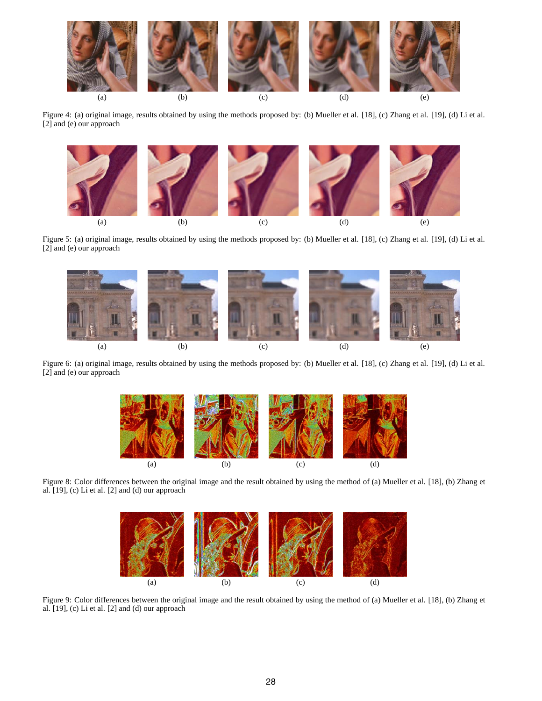

Figure 4: (a) original image, results obtained by using the methods proposed by: (b) Mueller et al. [18], (c) Zhang et al. [19], (d) Li et al. [2] and (e) our approach



Figure 5: (a) original image, results obtained by using the methods proposed by: (b) Mueller et al. [18], (c) Zhang et al. [19], (d) Li et al. [2] and (e) our approach



Figure 6: (a) original image, results obtained by using the methods proposed by: (b) Mueller et al. [18], (c) Zhang et al. [19], (d) Li et al. [2] and (e) our approach



Figure 8: Color differences between the original image and the result obtained by using the method of (a) Mueller et al. [18], (b) Zhang et al. [19], (c) Li et al. [2] and (d) our approach



Figure 9: Color differences between the original image and the result obtained by using the method of (a) Mueller et al. [18], (b) Zhang et al. [19], (c) Li et al. [2] and (d) our approach